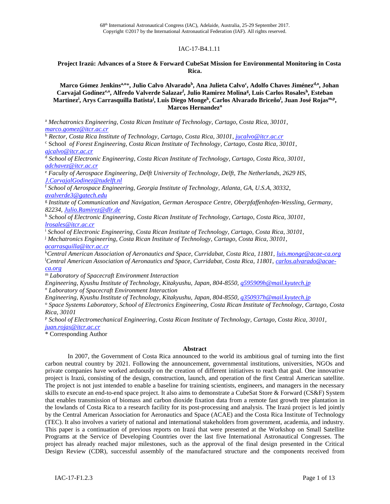## IAC-17-B4.1.11

### **Project Irazú: Advances of a Store & Forward CubeSat Mission for Environmental Monitoring in Costa Rica.**

**Marco Gómez Jenkinsa,o**\***, Julio Calvo Alvarado<sup>b</sup> , Ana Julieta Calvo<sup>c</sup> , Adolfo Chaves Jiménezd,o, Johan Carvajal Godíneze,o , Alfredo Valverde Salazar<sup>f</sup> , Julio Ramirez Molina<sup>g</sup> , Luis Carlos Rosales<sup>h</sup> , Esteban Martinez<sup>i</sup> , Arys Carrasquilla Batista<sup>j</sup> , Luis Diego Monge<sup>k</sup> , Carlos Alvarado Briceño<sup>l</sup> , Juan José Rojasm,p , Marcos Hernandez<sup>n</sup>**

<sup>a</sup> *Mechatronics Engineering, Costa Rican Institute of Technology, Cartago, Costa Rica, 30101*, *[marco.gomez@itcr.ac.cr](mailto:marco.gomez@itcr.ac.cr)*

<sup>b</sup> *Rector, Costa Rica Institute of Technology, Cartago, Costa Rica, 30101*, *[jucalvo@itcr.ac.cr](mailto:jucalvo@itcr.ac.cr)*

<sup>c</sup> School *of Forest Engineering, Costa Rican Institute of Technology, Cartago, Costa Rica, 30101*, *[ajcalvo@itcr.ac.cr](mailto:ajcalvo@itcr.ac.cr)*

<sup>d</sup> *School of Electronic Engineering, Costa Rican Institute of Technology, Cartago, Costa Rica, 30101, [adchavez@itcr.ac.cr](mailto:adchavez@itcr.ac.cr)*

<sup>e</sup> *Faculty of Aerospace Engineering, Delft University of Technology, Delft, The Netherlands, 2629 HS, [J.CarvajalGodinez@tudelft.nl](mailto:J.CarvajalGodinez@tudelft.nl)*

<sup>f</sup> *School of Aerospace Engineering, Georgia Institute of Technology, Atlanta, GA, U.S.A, 30332*, *[avalverde3@gatech.edu](mailto:avalverde3@gatech.edu)*

g *Institute of Communication and Navigation, German Aerospace Centre, Oberpfaffenhofen-Wessling, Germany, 82234, [Julio.Ramirez@dlr.de](mailto:Julio.Ramirez@dlr.de)*

<sup>h</sup> *School of Electronic Engineering, Costa Rican Institute of Technology, Cartago, Costa Rica, 30101, [lrosales@itcr.ac.cr](mailto:lrosales@itcr.ac.cr)*

<sup>i</sup> *School of Electronic Engineering, Costa Rican Institute of Technology, Cartago, Costa Rica, 30101,* 

<sup>j</sup> *Mechatronics Engineering, Costa Rican Institute of Technology, Cartago, Costa Rica, 30101*, *[acarrasquilla@itcr.ac.cr](mailto:acarrasquilla@itcr.ac.cr)*

<sup>k</sup>*Central American Association of Aeronautics and Space, Curridabat, Costa Rica, 11801, [luis.monge@acae-ca.org](mailto:luis.monge@acae-ca.org)* <sup>l</sup>*Central American Association of Aeronautics and Space, Curridabat, Costa Rica, 11801, [carlos.alvarado@acae](mailto:carlos.alvarado@acae-ca.org)[ca.org](mailto:carlos.alvarado@acae-ca.org)*

<sup>m</sup> *Laboratory of Spacecraft Environment Interaction*

*Engineering*, *Kyushu Institute of Technology, Kitakyushu, Japan, 804-8550, [q595909h@mail.kyutech.jp](mailto:q595909h@mail.kyutech.jp)*

*<sup>n</sup> Laboratory of Spacecraft Environment Interaction*

*Engineering, Kyushu Institute of Technology, Kitakyushu, Japan, 804-8550, [q350937h@mail.kyutech.jp](mailto:q350937h@mail.kyutech.jp)*

<sup>o</sup> *Space Systems Laboratory, School of Electronics Engineering, Costa Rican Institute of Technology, Cartago, Costa Rica, 30101*

<sup>p</sup> *School of Electromechanical Engineering, Costa Rican Institute of Technology, Cartago, Costa Rica, 30101, [juan.rojas@itcr.ac.cr](mailto:juan.rojas@itcr.ac.cr)*

\* Corresponding Author

#### **Abstract**

In 2007, the Government of Costa Rica announced to the world its ambitious goal of turning into the first carbon neutral country by 2021. Following the announcement, governmental institutions, universities, NGOs and private companies have worked arduously on the creation of different initiatives to reach that goal. One innovative project is Irazú, consisting of the design, construction, launch, and operation of the first Central American satellite. The project is not just intended to enable a baseline for training scientists, engineers, and managers in the necessary skills to execute an end-to-end space project. It also aims to demonstrate a CubeSat Store & Forward (CS&F) System that enables transmission of biomass and carbon dioxide fixation data from a remote fast growth tree plantation in the lowlands of Costa Rica to a research facility for its post-processing and analysis. The Irazú project is led jointly by the Central American Association for Aeronautics and Space (ACAE) and the Costa Rica Institute of Technology (TEC). It also involves a variety of national and international stakeholders from government, academia, and industry. This paper is a continuation of previous reports on Irazú that were presented at the Workshop on Small Satellite Programs at the Service of Developing Countries over the last five International Astronautical Congresses. The project has already reached major milestones, such as the approval of the final design presented in the Critical Design Review (CDR), successful assembly of the manufactured structure and the components received from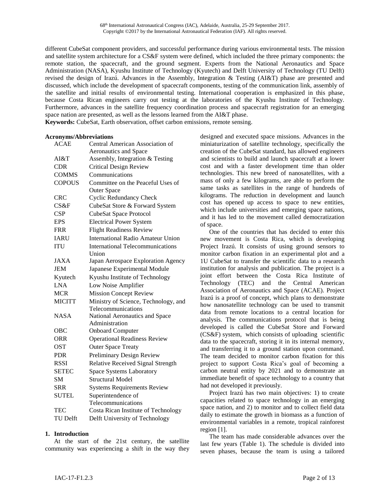68 th International Astronautical Congress (IAC), Adelaide, Australia, 25-29 September 2017. Copyright ©2017 by the International Astronautical Federation (IAF). All rights reserved.

different CubeSat component providers, and successful performance during various environmental tests. The mission and satellite system architecture for a CS&F system were defined, which included the three primary components: the remote station, the spacecraft, and the ground segment. Experts from the National Aeronautics and Space Administration (NASA), Kyushu Institute of Technology (Kyutech) and Delft University of Technology (TU Delft) revised the design of Irazú. Advances in the Assembly, Integration & Testing (AI&T) phase are presented and discussed, which include the development of spacecraft components, testing of the communication link, assembly of the satellite and initial results of environmental testing. International cooperation is emphasized in this phase, because Costa Rican engineers carry out testing at the laboratories of the Kyushu Institute of Technology. Furthermore, advances in the satellite frequency coordination process and spacecraft registration for an emerging space nation are presented, as well as the lessons learned from the AI&T phase. **Keywords:** CubeSat, Earth observation, offset carbon emissions, remote sensing.

#### **Acronyms/Abbreviations**

| <b>ACAE</b>   | Central American Association of          |  |  |
|---------------|------------------------------------------|--|--|
|               | <b>Aeronautics and Space</b>             |  |  |
| AI&T          | Assembly, Integration & Testing          |  |  |
| <b>CDR</b>    | <b>Critical Design Review</b>            |  |  |
| <b>COMMS</b>  | Communications                           |  |  |
| <b>COPOUS</b> | Committee on the Peaceful Uses of        |  |  |
|               | <b>Outer Space</b>                       |  |  |
| <b>CRC</b>    | <b>Cyclic Redundancy Check</b>           |  |  |
| CS&F          | CubeSat Store & Forward System           |  |  |
| CSP           | <b>CubeSat Space Protocol</b>            |  |  |
| <b>EPS</b>    | <b>Electrical Power System</b>           |  |  |
| <b>FRR</b>    | <b>Flight Readiness Review</b>           |  |  |
| <b>IARU</b>   | <b>International Radio Amateur Union</b> |  |  |
| <b>ITU</b>    | <b>International Telecommunications</b>  |  |  |
|               | Union                                    |  |  |
| <b>JAXA</b>   | Japan Aerospace Exploration Agency       |  |  |
| JEM           | Japanese Experimental Module             |  |  |
| Kyutech       | Kyushu Institute of Technology           |  |  |
| <b>LNA</b>    | Low Noise Amplifier                      |  |  |
| <b>MCR</b>    | <b>Mission Concept Review</b>            |  |  |
| <b>MICITT</b> | Ministry of Science, Technology, and     |  |  |
|               | Telecommunications                       |  |  |
| <b>NASA</b>   | National Aeronautics and Space           |  |  |
|               | Administration                           |  |  |
| OBC           | <b>Onboard Computer</b>                  |  |  |
| <b>ORR</b>    | <b>Operational Readiness Review</b>      |  |  |
| <b>OST</b>    | <b>Outer Space Treaty</b>                |  |  |
| <b>PDR</b>    | Preliminary Design Review                |  |  |
| <b>RSSI</b>   | Relative Received Signal Strength        |  |  |
| <b>SETEC</b>  | <b>Space Systems Laboratory</b>          |  |  |
| <b>SM</b>     | <b>Structural Model</b>                  |  |  |
| SRR           | <b>Systems Requirements Review</b>       |  |  |
| <b>SUTEL</b>  | Superintendence of                       |  |  |
|               | Telecommunications                       |  |  |
| TEC           | Costa Rican Institute of Technology      |  |  |
| TU Delft      | Delft University of Technology           |  |  |

#### **1. Introduction**

At the start of the 21st century, the satellite community was experiencing a shift in the way they

designed and executed space missions. Advances in the miniaturization of satellite technology, specifically the creation of the CubeSat standard, has allowed engineers and scientists to build and launch spacecraft at a lower cost and with a faster development time than older technologies. This new breed of nanosatellites, with a mass of only a few kilograms, are able to perform the same tasks as satellites in the range of hundreds of kilograms. The reduction in development and launch cost has opened up access to space to new entities, which include universities and emerging space nations, and it has led to the movement called democratization of space.

One of the countries that has decided to enter this new movement is Costa Rica, which is developing Project Irazú. It consists of using ground sensors to monitor carbon fixation in an experimental plot and a 1U CubeSat to transfer the scientific data to a research institution for analysis and publication. The project is a joint effort between the Costa Rica Institute of Technology (TEC) and the Central American Association of Aeronautics and Space (ACAE). Project Irazú is a proof of concept, which plans to demonstrate how nanosatellite technology can be used to transmit data from remote locations to a central location for analysis. The communications protocol that is being developed is called the CubeSat Store and Forward (CS&F) system, which consists of uploading scientific data to the spacecraft, storing it in its internal memory, and transferring it to a ground station upon command. The team decided to monitor carbon fixation for this project to support Costa Rica's goal of becoming a carbon neutral entity by 2021 and to demonstrate an immediate benefit of space technology to a country that had not developed it previously.

Project Irazú has two main objectives: 1) to create capacities related to space technology in an emerging space nation, and 2) to monitor and to collect field data daily to estimate the growth in biomass as a function of environmental variables in a remote, tropical rainforest region [1].

The team has made considerable advances over the last few years (Table 1). The schedule is divided into seven phases, because the team is using a tailored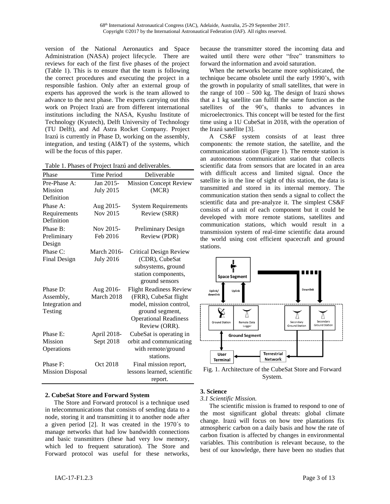version of the National Aeronautics and Space Administration (NASA) project lifecycle. There are reviews for each of the first five phases of the project (Table 1). This is to ensure that the team is following the correct procedures and executing the project in a responsible fashion. Only after an external group of experts has approved the work is the team allowed to advance to the next phase. The experts carrying out this work on Project Irazú are from different international institutions including the NASA, Kyushu Institute of Technology (Kyutech), Delft University of Technology (TU Delft), and Ad Astra Rocket Company. Project Irazú is currently in Phase D, working on the assembly, integration, and testing (AI&T) of the systems, which will be the focus of this paper.

| Table 1. Phases of Project Irazú and deliverables. |
|----------------------------------------------------|
|----------------------------------------------------|

| Phase                      | <b>Time Period</b> | Deliverable                    |
|----------------------------|--------------------|--------------------------------|
| Pre-Phase A:               | Jan 2015-          | <b>Mission Concept Review</b>  |
| Mission                    | <b>July 2015</b>   | (MCR)                          |
| Definition                 |                    |                                |
| Phase A:                   | Aug 2015-          | <b>System Requirements</b>     |
| Requirements<br>Definition | Nov 2015           | Review (SRR)                   |
| Phase B:                   | Nov 2015-          | Preliminary Design             |
| Preliminary                | Feb 2016           | Review (PDR)                   |
| Design                     |                    |                                |
| Phase C:                   | March 2016-        | Critical Design Review         |
| Final Design               | <b>July 2016</b>   | (CDR), CubeSat                 |
|                            |                    | subsystems, ground             |
|                            |                    | station components,            |
|                            |                    | ground sensors                 |
| Phase D:                   | Aug 2016-          | <b>Flight Readiness Review</b> |
| Assembly,                  | March 2018         | (FRR), CubeSat flight          |
| Integration and            |                    | model, mission control,        |
| Testing                    |                    | ground segment,                |
|                            |                    | <b>Operational Readiness</b>   |
|                            |                    | Review (ORR).                  |
| Phase E:                   | April 2018-        | CubeSat is operating in        |
| <b>Mission</b>             | Sept 2018          | orbit and communicating        |
| Operations                 |                    | with remote/ground             |
|                            |                    | stations.                      |
| Phase F:                   | Oct 2018           | Final mission report,          |
| <b>Mission Disposal</b>    |                    | lessons learned, scientific    |
|                            |                    | report.                        |

## **2. CubeSat Store and Forward System**

The Store and Forward protocol is a technique used in telecommunications that consists of sending data to a node, storing it and transmitting it to another node after a given period [2]. It was created in the 1970´s to manage networks that had low bandwidth connections and basic transmitters (these had very low memory, which led to frequent saturation). The Store and Forward protocol was useful for these networks,

because the transmitter stored the incoming data and waited until there were other "free" transmitters to forward the information and avoid saturation.

When the networks became more sophisticated, the technique became obsolete until the early 1990's, with the growth in popularity of small satellites, that were in the range of  $100 - 500$  kg. The design of Irazú shows that a 1 kg satellite can fulfill the same function as the satellites of the 90's, thanks to advances in microelectronics. This concept will be tested for the first time using a 1U CubeSat in 2018, with the operation of the Irazú satellite [3].

A CS&F system consists of at least three components: the remote station, the satellite, and the communication station (Figure 1). The remote station is an autonomous communication station that collects scientific data from sensors that are located in an area with difficult access and limited signal. Once the satellite is in the line of sight of this station, the data is transmitted and stored in its internal memory. The communication station then sends a signal to collect the scientific data and pre-analyze it. The simplest CS&F consists of a unit of each component but it could be developed with more remote stations, satellites and communication stations, which would result in a transmission system of real-time scientific data around the world using cost efficient spacecraft and ground stations.



Fig. 1. Architecture of the CubeSat Store and Forward System.

## **3. Science**

#### *3.1 Scientific Mission.*

The scientific mission is framed to respond to one of the most significant global threats: global climate change. Irazú will focus on how tree plantations fix atmospheric carbon on a daily basis and how the rate of carbon fixation is affected by changes in environmental variables. This contribution is relevant because, to the best of our knowledge, there have been no studies that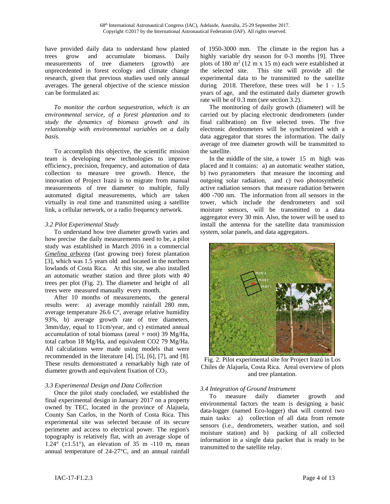have provided daily data to understand how planted trees grow and accumulate biomass. Daily measurements of tree diameters (growth) are unprecedented in forest ecology and climate change research, given that previous studies used only annual averages. The general objective of the science mission can be formulated as:

*To monitor the carbon sequestration, which is an environmental service, of a forest plantation and to study the dynamics of biomass growth and its relationship with environmental variables on a* daily *basis.* 

To accomplish this objective, the scientific mission team is developing new technologies to improve efficiency, precision, frequency, and automation of data collection to measure tree growth. Hence, the innovation of Project Irazú is to migrate from manual measurements of tree diameter to multiple, fully automated digital measurements, which are taken virtually in real time and transmitted using a satellite link, a cellular network, or a radio frequency network.

### *3.2 Pilot Experimental Study*

To understand how tree diameter growth varies and how precise the daily measurements need to be, a pilot study was established in March 2016 in a commercial *Gmelina arborea* (fast growing tree) forest plantation [3], which was 1.5 years old and located in the northern lowlands of Costa Rica. At this site, we also installed an automatic weather station and three plots with 40 trees per plot (Fig. 2). The diameter and height of all trees were measured manually every month.

After 10 months of measurements, the general results were: a) average monthly rainfall 280 mm, average temperature 26.6 C°, average relative humidity 93%, b) average growth rate of tree diameters, 3mm/day, equal to 11cm/year, and c) estimated annual accumulation of total biomass (areal + root) 39 Mg/Ha, total carbon 18 Mg/Ha, and equivalent CO2 79 Mg/Ha. All calculations were made using models that were recommended in the literature [4], [5], [6], [7], and [8]. These results demonstrated a remarkably high rate of diameter growth and equivalent fixation of CO2.

## *3.3 Experimental Design and Data Collection*

Once the pilot study concluded, we established the final experimental design in January 2017 on a property owned by TEC, located in the province of Alajuela, County San Carlos, in the North of Costa Rica. This experimental site was selected because of its secure perimeter and access to electrical power. The region's topography is relatively flat, with an average slope of  $1.24^{\circ}$  ( $\pm 1.51^{\circ}$ ), an elevation of 35 m -110 m, mean annual temperature of 24-27°C, and an annual rainfall

of 1950-3000 mm. The climate in the region has a highly variable dry season for 0-3 months [9]. Three plots of 180  $m<sup>2</sup>$  (12 m x 15 m) each were established at the selected site. This site will provide all the experimental data to be transmitted to the satellite during 2018. Therefore, these trees will be 1 - 1.5 years of age, and the estimated daily diameter growth rate will be of 0.3 mm (see section 3.2).

The monitoring of daily growth (diameter) will be carried out by placing electronic dendrometers (under final calibration) on five selected trees. The five electronic dendrometers will be synchronized with a data aggregator that stores the information. The daily average of tree diameter growth will be transmitted to the satellite.

In the middle of the site, a tower 15 m high was placed and it contains: a) an automatic weather station, b) two pyranometers that measure the incoming and outgoing solar radiation, and c) two photosynthetic active radiation sensors that measure radiation between 400 -700 nm. The information from all sensors in the tower, which include the dendrometers and soil moisture sensors, will be transmitted to a data aggregator every 30 min. Also, the tower will be used to install the antenna for the satellite data transmission system, solar panels, and data aggregators.



Fig. 2. Pilot experimental site for Project Irazú in Los Chiles de Alajuela, Costa Rica. Areal overview of plots and tree plantation.

## *3.4 Integration of Ground Instrument*

To measure daily diameter growth and environmental factors the team is designing a basic data-logger (named Eco-logger) that will control two main tasks: a) collection of all data from remote sensors (i.e., dendrometers, weather station, and soil moisture station) and b) packing of all collected information in a single data packet that is ready to be transmitted to the satellite relay.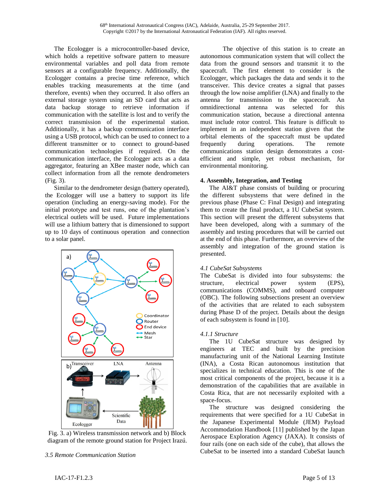The Ecologger is a microcontroller-based device, which holds a repetitive software pattern to measure environmental variables and poll data from remote sensors at a configurable frequency. Additionally, the Ecologger contains a precise time reference, which enables tracking measurements at the time (and therefore, events) when they occurred. It also offers an external storage system using an SD card that acts as data backup storage to retrieve information if communication with the satellite is lost and to verify the correct transmission of the experimental station. Additionally, it has a backup communication interface using a USB protocol, which can be used to connect to a different transmitter or to connect to ground-based communication technologies if required. On the communication interface, the Ecologger acts as a data aggregator, featuring an XBee master node, which can collect information from all the remote dendrometers (Fig. 3).

Similar to the dendrometer design (battery operated), the Ecologger will use a battery to support its life operation (including an energy-saving mode). For the initial prototype and test runs, one of the plantation's electrical outlets will be used. Future implementations will use a lithium battery that is dimensioned to support up to 10 days of continuous operation and connection to a solar panel.



Fig. 3. a) Wireless transmission network and b) Block diagram of the remote ground station for Project Irazú.

*3.5 Remote Communication Station*

The objective of this station is to create an autonomous communication system that will collect the data from the ground sensors and transmit it to the spacecraft. The first element to consider is the Ecologger, which packages the data and sends it to the transceiver. This device creates a signal that passes through the low noise amplifier (LNA) and finally to the antenna for transmission to the spacecraft. An omnidirectional antenna was selected for this communication station, because a directional antenna must include rotor control. This feature is difficult to implement in an independent station given that the orbital elements of the spacecraft must be updated frequently during operations. The remote communications station design demonstrates a costefficient and simple, yet robust mechanism, for environmental monitoring.

### **4. Assembly, Integration, and Testing**

The AI&T phase consists of building or procuring the different subsystems that were defined in the previous phase (Phase C: Final Design) and integrating them to create the final product, a 1U CubeSat system. This section will present the different subsystems that have been developed, along with a summary of the assembly and testing procedures that will be carried out at the end of this phase. Furthermore, an overview of the assembly and integration of the ground station is presented.

## *4.1 CubeSat Subsystems*

The CubeSat is divided into four subsystems: the structure, electrical power system (EPS), communications (COMMS), and onboard computer (OBC). The following subsections present an overview of the activities that are related to each subsystem during Phase D of the project. Details about the design of each subsystem is found in [10].

## *4.1.1 Structure*

The 1U CubeSat structure was designed by engineers at TEC and built by the precision manufacturing unit of the National Learning Institute (INA), a Costa Rican autonomous institution that specializes in technical education. This is one of the most critical components of the project, because it is a demonstration of the capabilities that are available in Costa Rica, that are not necessarily exploited with a space-focus.

The structure was designed considering the requirements that were specified for a 1U CubeSat in the Japanese Experimental Module (JEM) Payload Accommodation Handbook [11] published by the Japan Aerospace Exploration Agency (JAXA). It consists of four rails (one on each side of the cube), that allows the CubeSat to be inserted into a standard CubeSat launch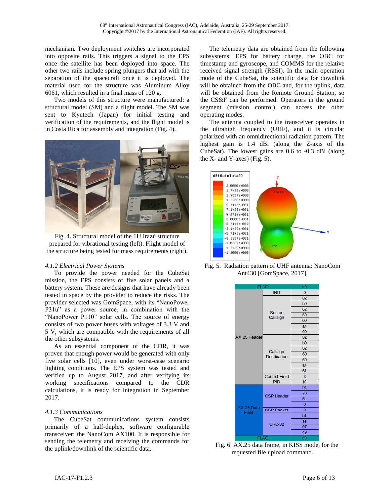mechanism. Two deployment switches are incorporated into opposite rails. This triggers a signal to the EPS once the satellite has been deployed into space. The other two rails include spring plungers that aid with the separation of the spacecraft once it is deployed. The material used for the structure was Aluminum Alloy 6061, which resulted in a final mass of 120 g.

Two models of this structure were manufactured: a structural model (SM) and a flight model. The SM was sent to Kyutech (Japan) for initial testing and verification of the requirements, and the flight model is in Costa Rica for assembly and integration (Fig. 4).



Fig. 4. Structural model of the 1U Irazú structure prepared for vibrational testing (left). Flight model of the structure being tested for mass requirements (right).

## *4.1.2 Electrical Power Systems*

To provide the power needed for the CubeSat mission, the EPS consists of five solar panels and a battery system. These are designs that have already been tested in space by the provider to reduce the risks. The provider selected was GomSpace, with its "NanoPower P31u" as a power source, in combination with the "NanoPower P110" solar cells. The source of energy consists of two power buses with voltages of 3.3 V and 5 V, which are compatible with the requirements of all the other subsystems.

As an essential component of the CDR, it was proven that enough power would be generated with only five solar cells [10], even under worst-case scenario lighting conditions. The EPS system was tested and verified up to August 2017, and after verifying its working specifications compared to the CDR calculations, it is ready for integration in September 2017.

## *4.1.3 Communications*

The CubeSat communications system consists primarily of a half-duplex, software configurable transceiver: the NanoCom AX100. It is responsible for sending the telemetry and receiving the commands for the uplink/downlink of the scientific data.

The telemetry data are obtained from the following subsystems: EPS for battery charge, the OBC for timestamp and gyroscope, and COMMS for the relative received signal strength (RSSI). In the main operation mode of the CubeSat, the scientific data for downlink will be obtained from the OBC and, for the uplink, data will be obtained from the Remote Ground Station, so the CS&F can be performed. Operators in the ground segment (mission control) can access the other operating modes.

The antenna coupled to the transceiver operates in the ultrahigh frequency (UHF), and it is circular polarized with an omnidirectional radiation pattern. The highest gain is 1.4 dBi (along the Z-axis of the CubeSat). The lowest gains are 0.6 to -0.3 dBi (along the  $X$ - and  $Y$ -axes) (Fig. 5).



Fig. 5. Radiation pattern of UHF antenna: NanoCom Ant430 [GomSpace, 2017].



Fig. 6. AX.25 data frame, in KISS mode, for the requested file upload command.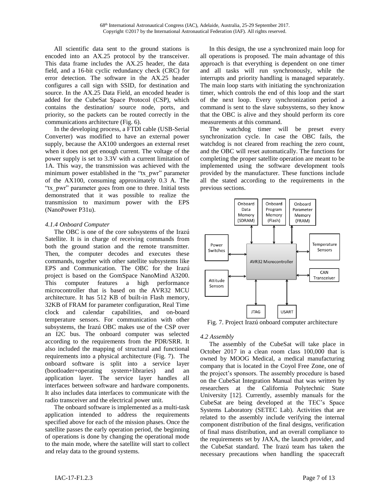All scientific data sent to the ground stations is encoded into an AX.25 protocol by the transceiver. This data frame includes the AX.25 header, the data field, and a 16-bit cyclic redundancy check (CRC) for error detection. The software in the AX.25 header configures a call sign with SSID, for destination and source. In the AX.25 Data Field, an encoded header is added for the CubeSat Space Protocol (CSP), which contains the destination/ source node, ports, and priority, so the packets can be routed correctly in the communications architecture (Fig. 6).

In the developing process, a FTDI cable (USB-Serial Converter) was modified to have an external power supply, because the AX100 undergoes an external reset when it does not get enough current. The voltage of the power supply is set to 3.3V with a current limitation of 1A. This way, the transmission was achieved with the minimum power established in the "tx\_pwr" parameter of the AX100, consuming approximately 0.3 A. The "tx\_pwr" parameter goes from one to three. Initial tests demonstrated that it was possible to realize the transmission to maximum power with the EPS (NanoPower P31u).

## *4.1.4 Onboard Computer*

The OBC is one of the core subsystems of the Irazú Satellite. It is in charge of receiving commands from both the ground station and the remote transmitter. Then, the computer decodes and executes these commands, together with other satellite subsystems like EPS and Communication. The OBC for the Irazú project is based on the GomSpace NanoMind A3200. This computer features a high performance microcontroller that is based on the AVR32 MCU architecture. It has 512 KB of built-in Flash memory, 32KB of FRAM for parameter configuration, Real Time clock and calendar capabilities, and on-board temperature sensors. For communication with other subsystems, the Irazú OBC makes use of the CSP over an I2C bus. The onboard computer was selected according to the requirements from the PDR/SRR. It also included the mapping of structural and functional requirements into a physical architecture (Fig. 7). The onboard software is split into a service layer (bootloader+operating system+libraries) and an application layer. The service layer handles all interfaces between software and hardware components. It also includes data interfaces to communicate with the radio transceiver and the electrical power unit.

The onboard software is implemented as a multi-task application intended to address the requirements specified above for each of the mission phases. Once the satellite passes the early operation period, the beginning of operations is done by changing the operational mode to the main mode, where the satellite will start to collect and relay data to the ground systems.

In this design, the use a synchronized main loop for all operations is proposed. The main advantage of this approach is that everything is dependent on one timer and all tasks will run synchronously, while the interrupts and priority handling is managed separately. The main loop starts with initiating the synchronization timer, which controls the end of this loop and the start of the next loop. Every synchronization period a command is sent to the slave subsystems, so they know that the OBC is alive and they should perform its core measurements at this command.

The watchdog timer will be preset every synchronization cycle. In case the OBC fails, the watchdog is not cleared from reaching the zero count, and the OBC will reset automatically. The functions for completing the proper satellite operation are meant to be implemented using the software development tools provided by the manufacturer. These functions include all the stated according to the requirements in the previous sections.



Fig. 7. Project Irazú onboard computer architecture

# *4.2 Assembly*

The assembly of the CubeSat will take place in October 2017 in a clean room class 100,000 that is owned by MOOG Medical, a medical manufacturing company that is located in the Coyol Free Zone, one of the project's sponsors. The assembly procedure is based on the CubeSat Integration Manual that was written by researchers at the California Polytechnic State University [12]. Currently, assembly manuals for the CubeSat are being developed at the TEC's Space Systems Laboratory (SETEC Lab). Activities that are related to the assembly include verifying the internal component distribution of the final designs, verification of final mass distribution, and an overall compliance to the requirements set by JAXA, the launch provider, and the CubeSat standard. The Irazú team has taken the necessary precautions when handling the spacecraft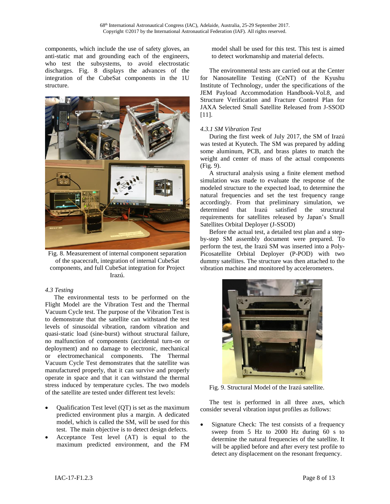components, which include the use of safety gloves, an anti-static mat and grounding each of the engineers, who test the subsystems, to avoid electrostatic discharges. Fig. 8 displays the advances of the integration of the CubeSat components in the 1U structure.



Fig. 8. Measurement of internal component separation of the spacecraft, integration of internal CubeSat components, and full CubeSat integration for Project Irazú.

## *4.3 Testing*

The environmental tests to be performed on the Flight Model are the Vibration Test and the Thermal Vacuum Cycle test. The purpose of the Vibration Test is to demonstrate that the satellite can withstand the test levels of sinusoidal vibration, random vibration and quasi-static load (sine-burst) without structural failure, no malfunction of components (accidental turn-on or deployment) and no damage to electronic, mechanical or electromechanical components. The Thermal Vacuum Cycle Test demonstrates that the satellite was manufactured properly, that it can survive and properly operate in space and that it can withstand the thermal stress induced by temperature cycles. The two models of the satellite are tested under different test levels:

- Qualification Test level (QT) is set as the maximum predicted environment plus a margin. A dedicated model, which is called the SM, will be used for this test. The main objective is to detect design defects.
- Acceptance Test level (AT) is equal to the maximum predicted environment, and the FM

model shall be used for this test. This test is aimed to detect workmanship and material defects.

The environmental tests are carried out at the Center for Nanosatellite Testing (CeNT) of the Kyushu Institute of Technology, under the specifications of the JEM Payload Accommodation Handbook-Vol.8, and Structure Verification and Fracture Control Plan for JAXA Selected Small Satellite Released from J-SSOD [11].

## *4.3.1 SM Vibration Test*

During the first week of July 2017, the SM of Irazú was tested at Kyutech. The SM was prepared by adding some aluminum, PCB, and brass plates to match the weight and center of mass of the actual components (Fig. 9).

A structural analysis using a finite element method simulation was made to evaluate the response of the modeled structure to the expected load, to determine the natural frequencies and set the test frequency range accordingly. From that preliminary simulation, we determined that Irazú satisfied the structural requirements for satellites released by Japan's Small Satellites Orbital Deployer (J-SSOD)

Before the actual test, a detailed test plan and a stepby-step SM assembly document were prepared. To perform the test, the Irazú SM was inserted into a Poly-Picosatellite Orbital Deployer (P-POD) with two dummy satellites. The structure was then attached to the vibration machine and monitored by accelerometers.



Fig. 9. Structural Model of the Irazú satellite.

The test is performed in all three axes, which consider several vibration input profiles as follows:

 Signature Check: The test consists of a frequency sweep from 5 Hz to 2000 Hz during 60 s to determine the natural frequencies of the satellite. It will be applied before and after every test profile to detect any displacement on the resonant frequency.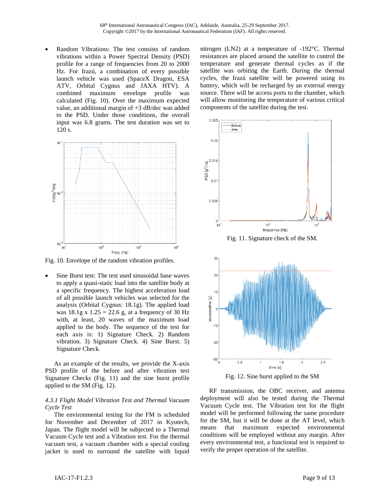Random Vibrations: The test consists of random vibrations within a Power Spectral Density (PSD) profile for a range of frequencies from 20 to 2000 Hz. For Irazú, a combination of every possible launch vehicle was used (SpaceX Dragon, ESA ATV, Orbital Cygnus and JAXA HTV). A combined maximum envelope profile was calculated (Fig. 10). Over the maximum expected value, an additional margin of +3 dB/dec was added to the PSD. Under those conditions, the overall input was 6.8 grams. The test duration was set to 120 s.



Fig. 10. Envelope of the random vibration profiles.

 Sine Burst test: The test used sinusoidal base waves to apply a quasi-static load into the satellite body at a specific frequency. The highest acceleration load of all possible launch vehicles was selected for the analysis (Orbital Cygnus: 18.1g). The applied load was  $18.1g \times 1.25 = 22.6 g$ , at a frequency of 30 Hz with, at least, 20 waves of the maximum load applied to the body. The sequence of the test for each axis is: 1) Signature Check. 2) Random vibration. 3) Signature Check. 4) Sine Burst. 5) Signature Check.

As an example of the results, we provide the X-axis PSD profile of the before and after vibration test Signature Checks (Fig. 11) and the sine burst profile applied to the SM (Fig. 12).

### *4.3.1 Flight Model Vibration Test and Thermal Vacuum Cycle Test*

The environmental testing for the FM is scheduled for November and December of 2017 in Kyutech, Japan. The flight model will be subjected to a Thermal Vacuum Cycle test and a Vibration test. For the thermal vacuum test, a vacuum chamber with a special cooling jacket is used to surround the satellite with liquid

nitrogen (LN2) at a temperature of -192°C. Thermal resistances are placed around the satellite to control the temperature and generate thermal cycles as if the satellite was orbiting the Earth. During the thermal cycles, the Irazú satellite will be powered using its battery, which will be recharged by an external energy source. There will be access ports to the chamber, which will allow monitoring the temperature of various critical components of the satellite during the test.



Fig. 12. Sine burst applied to the SM

RF transmission, the OBC receiver, and antenna deployment will also be tested during the Thermal Vacuum Cycle test. The Vibration test for the flight model will be performed following the same procedure for the SM, but it will be done at the AT level, which means that maximum expected environmental conditions will be employed without any margin. After every environmental test, a functional test is required to verify the proper operation of the satellite.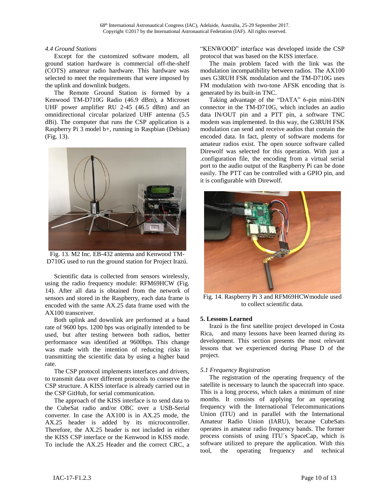#### *4.4 Ground Stations*

Except for the customized software modem, all ground station hardware is commercial off-the-shelf (COTS) amateur radio hardware. This hardware was selected to meet the requirements that were imposed by the uplink and downlink budgets.

The Remote Ground Station is formed by a Kenwood TM-D710G Radio (46.9 dBm), a Microset UHF power amplifier RU 2-45 (46.5 dBm) and an omnidirectional circular polarized UHF antenna (5.5 dBi). The computer that runs the CSP application is a Raspberry Pi 3 model b+, running in Raspbian (Debian) (Fig. 13).



Fig. 13. M2 Inc. EB-432 antenna and Kenwood TM-D710G used to run the ground station for Project Irazú.

Scientific data is collected from sensors wirelessly, using the radio frequency module: RFM69HCW (Fig. 14). After all data is obtained from the network of sensors and stored in the Raspberry, each data frame is encoded with the same AX.25 data frame used with the AX100 transceiver.

Both uplink and downlink are performed at a baud rate of 9600 bps. 1200 bps was originally intended to be used, but after testing between both radios, better performance was identified at 9600bps. This change was made with the intention of reducing risks in transmitting the scientific data by using a higher baud rate.

The CSP protocol implements interfaces and drivers, to transmit data over different protocols to conserve the CSP structure. A KISS interface is already carried out in the CSP GitHub, for serial communication.

The approach of the KISS interface is to send data to the CubeSat radio and/or OBC over a USB-Serial converter. In case the AX100 is in AX.25 mode, the AX.25 header is added by its microcontroller. Therefore, the AX.25 header is not included in either the KISS CSP interface or the Kenwood in KISS mode. To include the AX.25 Header and the correct CRC, a

"KENWOOD" interface was developed inside the CSP protocol that was based on the KISS interface.

The main problem faced with the link was the modulation incompatibility between radios. The AX100 uses G3RUH FSK modulation and the TM-D710G uses FM modulation with two-tone AFSK encoding that is generated by its built-in TNC.

Taking advantage of the "DATA" 6-pin mini-DIN connector in the TM-D710G, which includes an audio data IN/OUT pin and a PTT pin, a software TNC modem was implemented. In this way, the G3RUH FSK modulation can send and receive audios that contain the encoded data. In fact, plenty of software modems for amateur radios exist. The open source software called Direwolf was selected for this operation. With just a .configuration file, the encoding from a virtual serial port to the audio output of the Raspberry Pi can be done easily. The PTT can be controlled with a GPIO pin, and it is configurable with Direwolf.



Fig. 14. Raspberry Pi 3 and RFM69HCWmodule used to collect scientific data.

## **5. Lessons Learned**

Irazú is the first satellite project developed in Costa Rica, and many lessons have been learned during its development. This section presents the most relevant lessons that we experienced during Phase D of the project.

## *5.1 Frequency Registration*

The registration of the operating frequency of the satellite is necessary to launch the spacecraft into space. This is a long process, which takes a minimum of nine months. It consists of applying for an operating frequency with the International Telecommunications Union (ITU) and in parallel with the International Amateur Radio Union (IARU), because CubeSats operates in amateur radio frequency bands. The former process consists of using ITU´s SpaceCap, which is software utilized to prepare the application. With this tool, the operating frequency and technical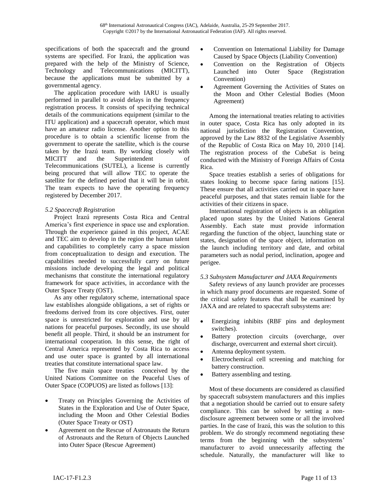specifications of both the spacecraft and the ground systems are specified. For Irazú, the application was prepared with the help of the Ministry of Science, Technology and Telecommunications (MICITT), because the applications must be submitted by a governmental agency.

The application procedure with IARU is usually performed in parallel to avoid delays in the frequency registration process. It consists of specifying technical details of the communications equipment (similar to the ITU application) and a spacecraft operator, which must have an amateur radio license. Another option to this procedure is to obtain a scientific license from the government to operate the satellite, which is the course taken by the Irazú team. By working closely with MICITT and the Superintendent of Telecommunications (SUTEL), a license is currently being procured that will allow TEC to operate the satellite for the defined period that it will be in orbit. The team expects to have the operating frequency registered by December 2017.

# *5.2 Spacecraft Registration*

Project Irazú represents Costa Rica and Central America's first experience in space use and exploration. Through the experience gained in this project, ACAE and TEC aim to develop in the region the human talent and capabilities to completely carry a space mission from conceptualization to design and execution. The capabilities needed to successfully carry on future missions include developing the legal and political mechanisms that constitute the international regulatory framework for space activities, in accordance with the Outer Space Treaty (OST).

As any other regulatory scheme, international space law establishes alongside obligations, a set of rights or freedoms derived from its core objectives. First, outer space is unrestricted for exploration and use by all nations for peaceful purposes. Secondly, its use should benefit all people. Third, it should be an instrument for international cooperation. In this sense, the right of Central America represented by Costa Rica to access and use outer space is granted by all international treaties that constitute international space law.

The five main space treaties conceived by the United Nations Committee on the Peaceful Uses of Outer Space (COPUOS) are listed as follows [13]:

- Treaty on Principles Governing the Activities of States in the Exploration and Use of Outer Space, including the Moon and Other Celestial Bodies (Outer Space Treaty or OST)
- Agreement on the Rescue of Astronauts the Return of Astronauts and the Return of Objects Launched into Outer Space (Rescue Agreement)
- Convention on International Liability for Damage Caused by Space Objects (Liability Convention)
- Convention on the Registration of Objects Launched into Outer Space (Registration Convention)
- Agreement Governing the Activities of States on the Moon and Other Celestial Bodies (Moon Agreement)

Among the international treaties relating to activities in outer space, Costa Rica has only adopted in its national jurisdiction the Registration Convention, approved by the Law 8832 of the Legislative Assembly of the Republic of Costa Rica on May 10, 2010 [14]. The registration process of the CubeSat is being conducted with the Ministry of Foreign Affairs of Costa Rica.

Space treaties establish a series of obligations for states looking to become space faring nations [15]. These ensure that all activities carried out in space have peaceful purposes, and that states remain liable for the activities of their citizens in space.

International registration of objects is an obligation placed upon states by the United Nations General Assembly. Each state must provide information regarding the function of the object, launching state or states, designation of the space object, information on the launch including territory and date, and orbital parameters such as nodal period, inclination, apogee and perigee.

# *5.3 Subsystem Manufacturer and JAXA Requirements*

Safety reviews of any launch provider are processes in which many proof documents are requested. Some of the critical safety features that shall be examined by JAXA and are related to spacecraft subsystems are:

- Energizing inhibits (RBF pins and deployment switches).
- Battery protection circuits (overcharge, over discharge, overcurrent and external short circuit).
- Antenna deployment system.
- Electrochemical cell screening and matching for battery construction.
- Battery assembling and testing.

Most of these documents are considered as classified by spacecraft subsystem manufacturers and this implies that a negotiation should be carried out to ensure safety compliance. This can be solved by setting a nondisclosure agreement between some or all the involved parties. In the case of Irazú, this was the solution to this problem. We do strongly recommend negotiating these terms from the beginning with the subsystems' manufacturer to avoid unnecessarily affecting the schedule. Naturally, the manufacturer will like to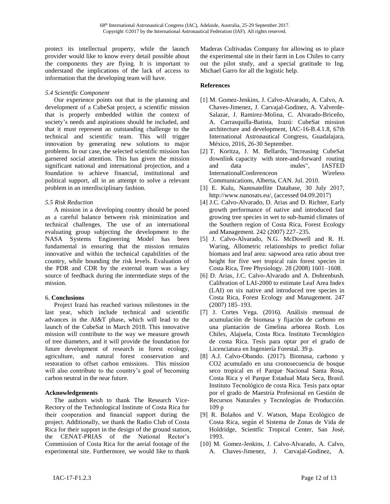protect its intellectual property, while the launch provider would like to know every detail possible about the components they are flying. It is important to understand the implications of the lack of access to information that the developing team will have.

## *5.4 Scientific Component*

Our experience points out that in the planning and development of a CubeSat project, a scientific mission that is properly embedded within the context of society's needs and aspirations should be included, and that it must represent an outstanding challenge to the technical and scientific team. This will trigger innovation by generating new solutions to major problems. In our case, the selected scientific mission has garnered social attention. This has given the mission significant national and international projection, and a foundation to achieve financial, institutional and political support, all in an attempt to solve a relevant problem in an interdisciplinary fashion.

## *5.5 Risk Reduction*

A mission in a developing country should be posed as a careful balance between risk minimization and technical challenges. The use of an international evaluating group subjecting the development to the NASA Systems Engineering Model has been fundamental in ensuring that the mission remains innovative and within the technical capabilities of the country, while bounding the risk levels. Evaluation of the PDR and CDR by the external team was a key source of feedback during the intermediate steps of the mission.

# **6. Conclusions**

Project Irazú has reached various milestones in the last year, which include technical and scientific advances in the AI&T phase, which will lead to the launch of the CubeSat in March 2018. This innovative mission will contribute to the way we measure growth of tree diameters, and it will provide the foundation for future development of research in forest ecology, agriculture, and natural forest conservation and restoration to offset carbon emissions. This mission will also contribute to the country's goal of becoming carbon neutral in the near future.

## **Acknowledgements**

The authors wish to thank The Research Vice-Rectory of the Technological Institute of Costa Rica for their cooperation and financial support during the project. Additionally, we thank the Radio Club of Costa Rica for their support in the design of the ground station, the CENAT-PRIAS of the National Rector's Commission of Costa Rica for the aerial footage of the experimental site. Furthermore, we would like to thank

Maderas Cultivadas Company for allowing us to place the experimental site in their farm in Los Chiles to carry out the pilot study, and a special gratitude to Ing. Michael Garro for all the logistic help.

# **References**

- [1] M. Gomez-Jenkins, J. Calvo-Alvarado, A. Calvo, A. Chaves-Jimenez, J. Carvajal-Godinez, A. Valverde-Salazar, J. Ramirez-Molina, C. Alvarado-Briceño, A. Carrasquilla-Batista, Irazú: CubeSat mission architecture and development, IAC-16-B.4.1.8, 67th International Astronautical Congress, Guadalajara, México, 2016, 26-30 September.
- [2] T. Koritza, J. M. Bellardo, "Increasing CubeSat downlink capacity with store-and-forward routing and data mules", IASTED InternationalConferenceon Wireless Communications, Alberta, CAN. Jul. 2010.
- [3] E. Kulu, Nanosatellite Database, 30 July 2017, [http://www.nanosats.eu/,](http://www.nanosats.eu/) (accessed 04.09.2017)
- [4] J.C. Calvo-Alvarado, D. Arias and D. Richter, Early growth performance of native and introduced fast growing tree species in wet to sub-humid climates of the Southern region of Costa Rica, Forest Ecology and Management. 242 (2007) 227–235.
- [5] J. Calvo-Alvarado, N.G. McDowell and R. H. Waring, Allometric relationships to predict foliar biomass and leaf area: sapwood area ratio about tree height for five wet tropical rain forest species in Costa Rica, Tree Physiology. 28 (2008) 1601–1608.
- [6] D. Arias, J.C. Calvo-Alvarado and A. Dohrenbush. Calibration of LAI-2000 to estimate Leaf Area Index (LAI) on six native and introduced tree species in Costa Rica, Forest Ecology and Management. 247 (2007) 185–193.
- [7] J. Cortes Vega. (2016). Análisis mensual de acumulación de biomasa y fijación de carbono en una plantación de Gmelina arborea Roxb. Los Chiles, Alajuela, Costa Rica. Instituto Tecnológico de costa Rica. Tesis para optar por el grado de Licenciatura en Ingeniería Forestal. 39 p.
- [8] A.J. Calvo-Obando. (2017). Biomasa, carbono y CO2 acumulado en una cronosecuencia de bosque seco tropical en el Parque Nacional Santa Rosa, Costa Rica y el Parque Estadual Mata Seca, Brasil. Instituto Tecnológico de costa Rica. Tesis para optar por el grado de Maestría Profesional en Gestión de Recursos Naturales y Tecnologías de Producción. 109 p
- [9] R. Bolaños and V. Watson, Mapa Ecológico de Costa Rica, según el Sistema de Zonas de Vida de Holdridge, Scientfic Tropical Center, San José, 1993.
- [10] M. Gomez-Jenkins, J. Calvo-Alvarado, A. Calvo, A. Chaves-Jimenez, J. Carvajal-Godinez, A.